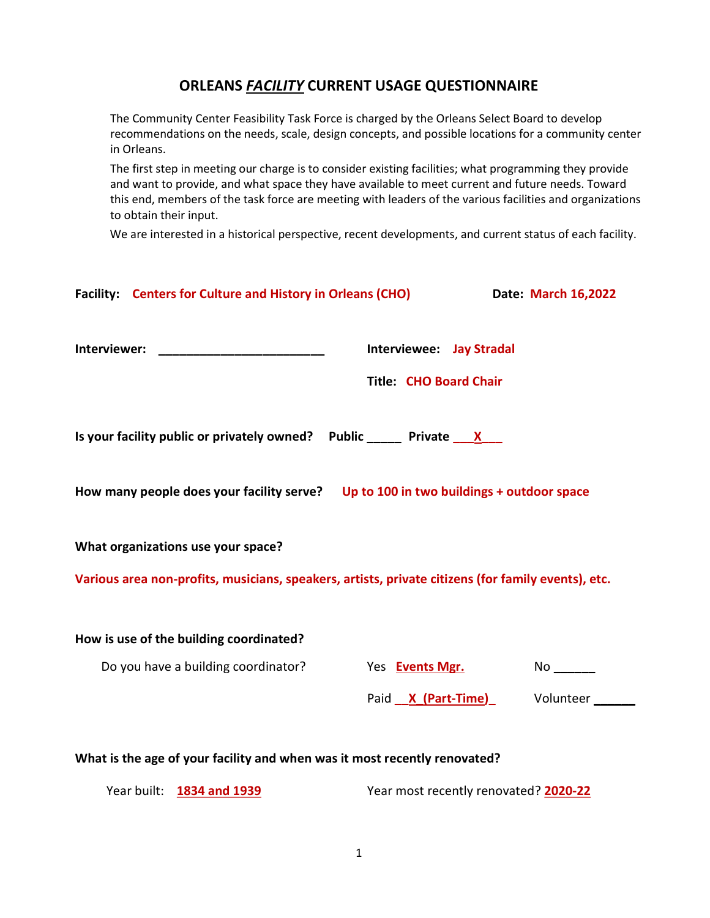# ORLEANS **FACILITY** CURRENT USAGE QUESTIONNAIRE

The Community Center Feasibility Task Force is charged by the Orleans Select Board to develop recommendations on the needs, scale, design concepts, and possible locations for a community center in Orleans.

The first step in meeting our charge is to consider existing facilities; what programming they provide and want to provide, and what space they have available to meet current and future needs. Toward this end, members of the task force are meeting with leaders of the various facilities and organizations to obtain their input.

We are interested in a historical perspective, recent developments, and current status of each facility.

|                                                                                                                                          | Facility: Centers for Culture and History in Orleans (CHO) |                                                                  |  | Date: March 16,2022                 |  |
|------------------------------------------------------------------------------------------------------------------------------------------|------------------------------------------------------------|------------------------------------------------------------------|--|-------------------------------------|--|
|                                                                                                                                          |                                                            | <b>Interviewee: Jay Stradal</b><br><b>Title: CHO Board Chair</b> |  |                                     |  |
| Is your facility public or privately owned? Public _____ Private $\frac{\mathsf{x}}{\mathsf{x}}$                                         |                                                            |                                                                  |  |                                     |  |
| How many people does your facility serve? Up to 100 in two buildings + outdoor space                                                     |                                                            |                                                                  |  |                                     |  |
| What organizations use your space?<br>Various area non-profits, musicians, speakers, artists, private citizens (for family events), etc. |                                                            |                                                                  |  |                                     |  |
|                                                                                                                                          | How is use of the building coordinated?                    |                                                                  |  |                                     |  |
|                                                                                                                                          | Do you have a building coordinator?                        | Yes <b>Events Mgr.</b>                                           |  |                                     |  |
|                                                                                                                                          |                                                            |                                                                  |  | Paid <u>X (Part-Time)</u> Volunteer |  |
| What is the age of your facility and when was it most recently renovated?                                                                |                                                            |                                                                  |  |                                     |  |

Year built: 1834 and 1939 Year most recently renovated? 2020-22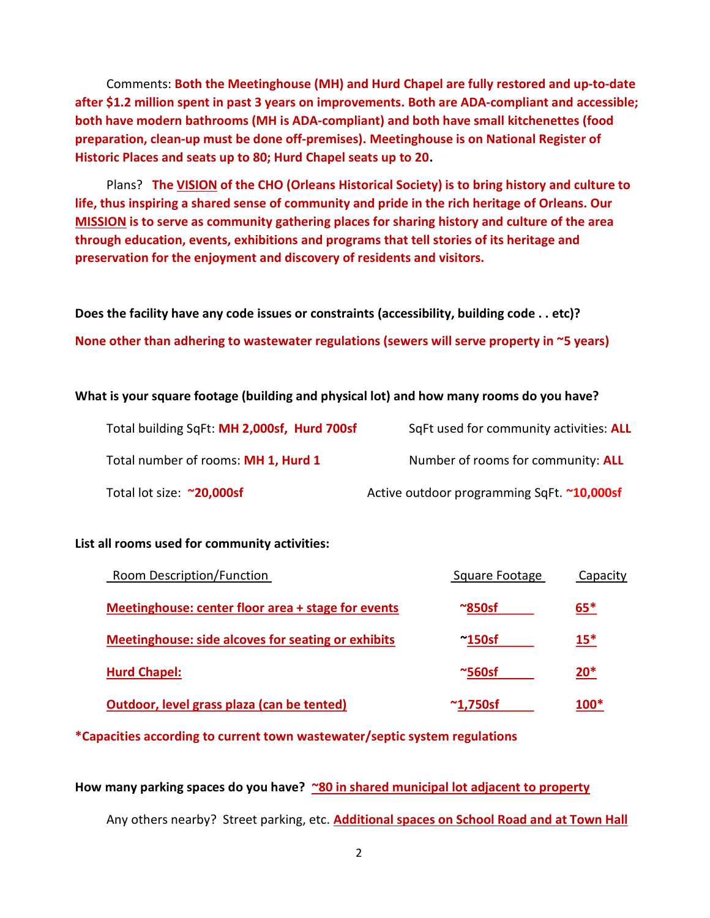Comments: Both the Meetinghouse (MH) and Hurd Chapel are fully restored and up-to-date after \$1.2 million spent in past 3 years on improvements. Both are ADA-compliant and accessible; both have modern bathrooms (MH is ADA-compliant) and both have small kitchenettes (food preparation, clean-up must be done off-premises). Meetinghouse is on National Register of Historic Places and seats up to 80; Hurd Chapel seats up to 20.

Plans? The VISION of the CHO (Orleans Historical Society) is to bring history and culture to life, thus inspiring a shared sense of community and pride in the rich heritage of Orleans. Our MISSION is to serve as community gathering places for sharing history and culture of the area through education, events, exhibitions and programs that tell stories of its heritage and preservation for the enjoyment and discovery of residents and visitors.

Does the facility have any code issues or constraints (accessibility, building code . . etc)? None other than adhering to wastewater regulations (sewers will serve property in ~5 years)

#### What is your square footage (building and physical lot) and how many rooms do you have?

| Total building SqFt: MH 2,000sf, Hurd 700sf | SqFt used for community activities: ALL    |
|---------------------------------------------|--------------------------------------------|
| Total number of rooms: MH 1, Hurd 1         | Number of rooms for community: ALL         |
| Total lot size: ~20,000sf                   | Active outdoor programming SqFt. ~10,000sf |

#### List all rooms used for community activities:

| Room Description/Function                          | Square Footage  | Capacity |
|----------------------------------------------------|-----------------|----------|
| Meetinghouse: center floor area + stage for events | $\approx$ 850sf | $65*$    |
| Meetinghouse: side alcoves for seating or exhibits | $^{\sim}$ 150sf | $15*$    |
| <b>Hurd Chapel:</b>                                | $~\sim$ 560sf   | $20*$    |
| Outdoor, level grass plaza (can be tented)         | $\sim$ 1,750sf  | $100*$   |

\*Capacities according to current town wastewater/septic system regulations

How many parking spaces do you have? ~80 in shared municipal lot adjacent to property

Any others nearby? Street parking, etc. **Additional spaces on School Road and at Town Hall**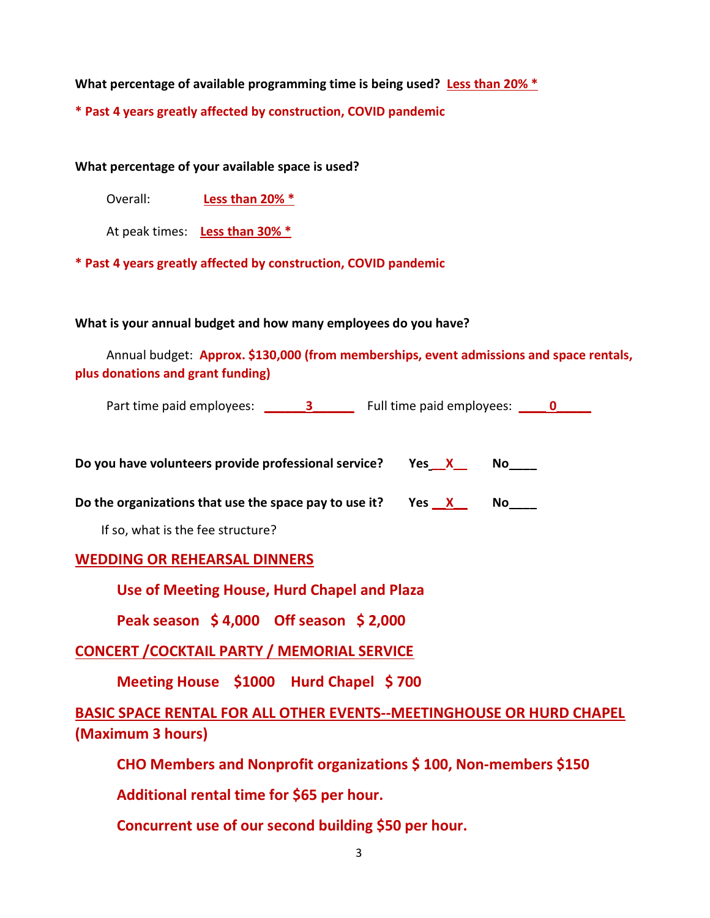What percentage of available programming time is being used? Less than  $20\%$  \*

\* Past 4 years greatly affected by construction, COVID pandemic

What percentage of your available space is used?

Overall: Less than 20% \*

At peak times: Less than 30% \*

\* Past 4 years greatly affected by construction, COVID pandemic

### What is your annual budget and how many employees do you have?

Annual budget: Approx. \$130,000 (from memberships, event admissions and space rentals, plus donations and grant funding)

| Part time paid employees: _______ 3 ________ Full time paid employees: _____ 0   |
|----------------------------------------------------------------------------------|
| Do you have volunteers provide professional service?  Yes_X_____________________ |
| Do the organizations that use the space pay to use it?  Yes <u>X</u> No ____     |
| If so, what is the fee structure?                                                |
| <b>WEDDING OR REHEARSAL DINNERS</b>                                              |
| Use of Meeting House, Hurd Chapel and Plaza                                      |
| Peak season \$4,000 Off season \$2,000                                           |
| <b>CONCERT / COCKTAIL PARTY / MEMORIAL SERVICE</b>                               |
| Meeting House \$1000 Hurd Chapel \$700                                           |
| <b>BASIC SPACE RENTAL FOR ALL OTHER EVENTS--MEETINGHOUSE OR HURD CHAPEL</b>      |
| (Maximum 3 hours)                                                                |

CHO Members and Nonprofit organizations \$ 100, Non-members \$150

Additional rental time for \$65 per hour.

Concurrent use of our second building \$50 per hour.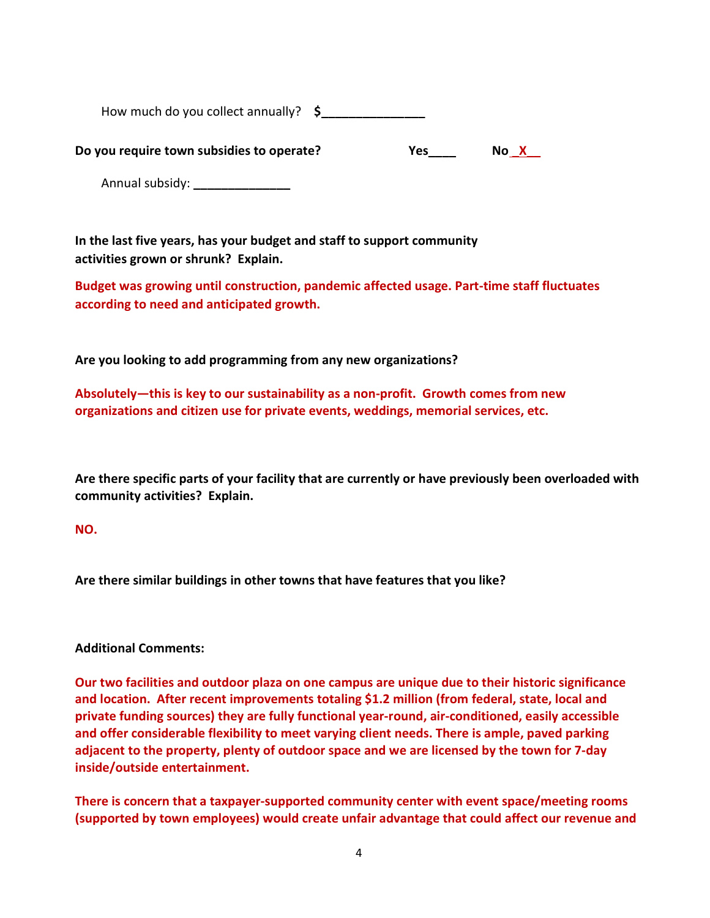How much do you collect annually?  $\sim$  \$

Do you require town subsidies to operate? The Morth Yes The No X

Annual subsidy: \_\_\_\_\_\_\_\_\_\_\_\_\_\_\_\_\_

In the last five years, has your budget and staff to support community activities grown or shrunk? Explain.

Budget was growing until construction, pandemic affected usage. Part-time staff fluctuates according to need and anticipated growth.

Are you looking to add programming from any new organizations?

Absolutely—this is key to our sustainability as a non-profit. Growth comes from new organizations and citizen use for private events, weddings, memorial services, etc.

Are there specific parts of your facility that are currently or have previously been overloaded with community activities? Explain.

## NO.

Are there similar buildings in other towns that have features that you like?

## Additional Comments:

Our two facilities and outdoor plaza on one campus are unique due to their historic significance and location. After recent improvements totaling \$1.2 million (from federal, state, local and private funding sources) they are fully functional year-round, air-conditioned, easily accessible and offer considerable flexibility to meet varying client needs. There is ample, paved parking adjacent to the property, plenty of outdoor space and we are licensed by the town for 7-day inside/outside entertainment.

There is concern that a taxpayer-supported community center with event space/meeting rooms (supported by town employees) would create unfair advantage that could affect our revenue and